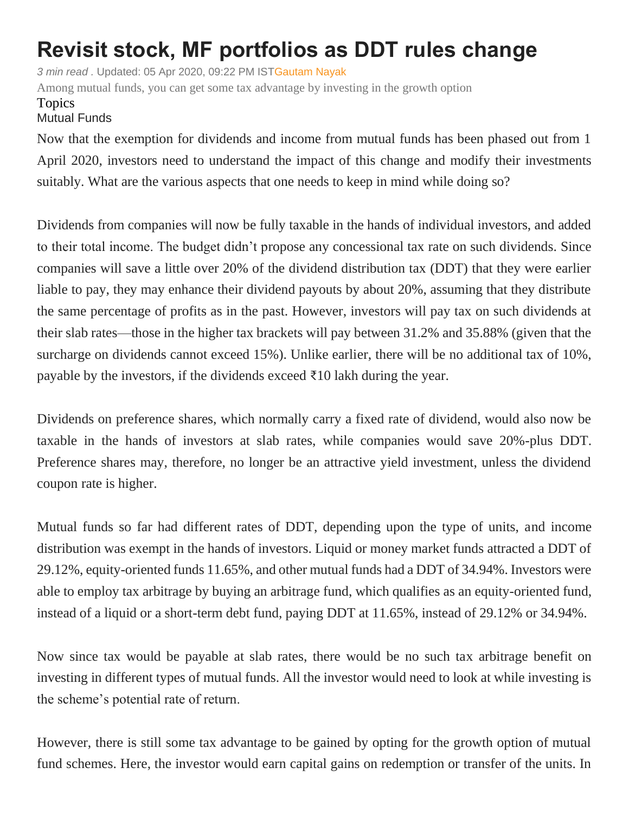## **Revisit stock, MF portfolios as DDT rules change**

*3 min read .* Updated: 05 Apr 2020, 09:22 PM IS[TGautam Nayak](https://www.livemint.com/Search/Link/Author/Gautam%20Nayak) Among mutual funds, you can get some tax advantage by investing in the growth option

## Topics

## [Mutual](https://www.livemint.com/topic/mutual-funds) Funds

Now that the exemption for dividends and income from mutual funds has been phased out from 1 April 2020, investors need to understand the impact of this change and modify their investments suitably. What are the various aspects that one needs to keep in mind while doing so?

Dividends from companies will now be fully taxable in the hands of individual investors, and added to their total income. The budget didn't propose any concessional tax rate on such dividends. Since companies will save a little over 20% of the dividend distribution tax (DDT) that they were earlier liable to pay, they may enhance their dividend payouts by about 20%, assuming that they distribute the same percentage of profits as in the past. However, investors will pay tax on such dividends at their slab rates—those in the higher tax brackets will pay between 31.2% and 35.88% (given that the surcharge on dividends cannot exceed 15%). Unlike earlier, there will be no additional tax of 10%, payable by the investors, if the dividends exceed  $\bar{\tau}$ 10 lakh during the year.

Dividends on preference shares, which normally carry a fixed rate of dividend, would also now be taxable in the hands of investors at slab rates, while companies would save 20%-plus DDT. Preference shares may, therefore, no longer be an attractive yield investment, unless the dividend coupon rate is higher.

Mutual funds so far had different rates of DDT, depending upon the type of units, and income distribution was exempt in the hands of investors. Liquid or money market funds attracted a DDT of 29.12%, equity-oriented funds 11.65%, and other mutual funds had a DDT of 34.94%. Investors were able to employ tax arbitrage by buying an arbitrage fund, which qualifies as an equity-oriented fund, instead of a liquid or a short-term debt fund, paying DDT at 11.65%, instead of 29.12% or 34.94%.

Now since tax would be payable at slab rates, there would be no such tax arbitrage benefit on investing in different types of mutual funds. All the investor would need to look at while investing is the scheme's potential rate of return.

However, there is still some tax advantage to be gained by opting for the growth option of mutual fund schemes. Here, the investor would earn capital gains on redemption or transfer of the units. In